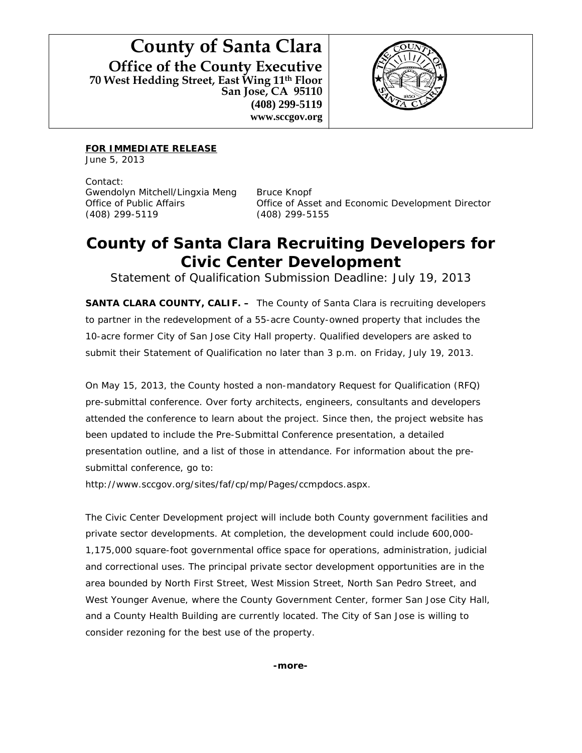**County of Santa Clara Office of the County Executive 70 West Hedding Street, East Wing 11th Floor San Jose, CA 95110 (408) 299-5119 www.sccgov.org** 



**FOR IMMEDIATE RELEASE** June 5, 2013

Contact: Gwendolyn Mitchell/Lingxia Meng Bruce Knopf (408) 299-5119 (408) 299-5155

Office of Public Affairs Office of Asset and Economic Development Director

## **County of Santa Clara Recruiting Developers for Civic Center Development**

*Statement of Qualification Submission Deadline: July 19, 2013*

**SANTA CLARA COUNTY, CALIF. –** The County of Santa Clara is recruiting developers to partner in the redevelopment of a 55-acre County-owned property that includes the 10-acre former City of San Jose City Hall property. Qualified developers are asked to submit their Statement of Qualification no later than 3 p.m. on Friday, July 19, 2013.

On May 15, 2013, the County hosted a non-mandatory Request for Qualification (RFQ) pre-submittal conference. Over forty architects, engineers, consultants and developers attended the conference to learn about the project. Since then, the project website has been updated to include the Pre-Submittal Conference presentation, a detailed presentation outline, and a list of those in attendance. For information about the presubmittal conference, go to:

[http://www.sccgov.org/sites/faf/cp/mp/Pages/ccmpdocs.aspx.](http://www.sccgov.org/sites/faf/cp/mp/Pages/ccmpdocs.aspx)

The Civic Center Development project will include both County government facilities and private sector developments. At completion, the development could include 600,000- 1,175,000 square-foot governmental office space for operations, administration, judicial and correctional uses. The principal private sector development opportunities are in the area bounded by North First Street, West Mission Street, North San Pedro Street, and West Younger Avenue, where the County Government Center, former San Jose City Hall, and a County Health Building are currently located. The City of San Jose is willing to consider rezoning for the best use of the property.

**-more-**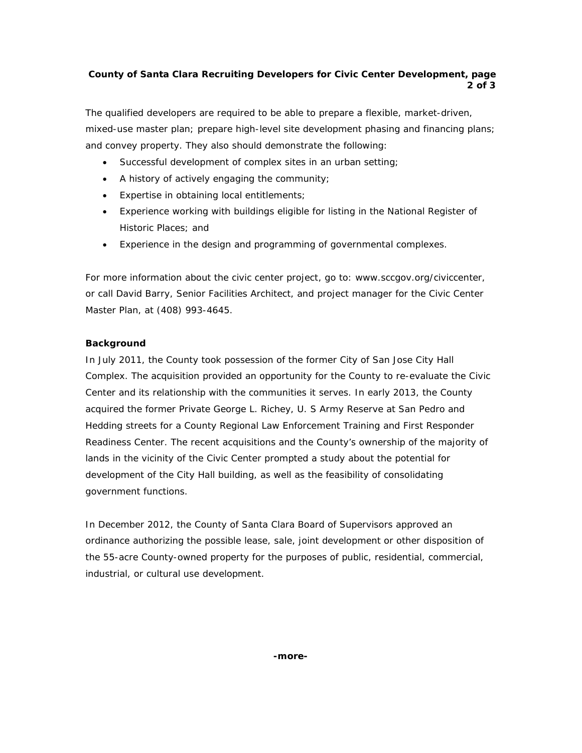## **County of Santa Clara Recruiting Developers for Civic Center Development, page 2 of 3**

The qualified developers are required to be able to prepare a flexible, market-driven, mixed-use master plan; prepare high-level site development phasing and financing plans; and convey property. They also should demonstrate the following:

- Successful development of complex sites in an urban setting;
- A history of actively engaging the community;
- Expertise in obtaining local entitlements;
- Experience working with buildings eligible for listing in the National Register of Historic Places; and
- Experience in the design and programming of governmental complexes.

For more information about the civic center project, go to: [www.sccgov.org/civiccenter,](http://www.sccgov.org/civiccenter) or call David Barry, Senior Facilities Architect, and project manager for the Civic Center Master Plan, at (408) 993-4645.

## **Background**

In July 2011, the County took possession of the former City of San Jose City Hall Complex. The acquisition provided an opportunity for the County to re-evaluate the Civic Center and its relationship with the communities it serves. In early 2013, the County acquired the former Private George L. Richey, U. S Army Reserve at San Pedro and Hedding streets for a County Regional Law Enforcement Training and First Responder Readiness Center. The recent acquisitions and the County's ownership of the majority of lands in the vicinity of the Civic Center prompted a study about the potential for development of the City Hall building, as well as the feasibility of consolidating government functions.

In December 2012, the County of Santa Clara Board of Supervisors approved an ordinance authorizing the possible lease, sale, joint development or other disposition of the 55-acre County-owned property for the purposes of public, residential, commercial, industrial, or cultural use development.